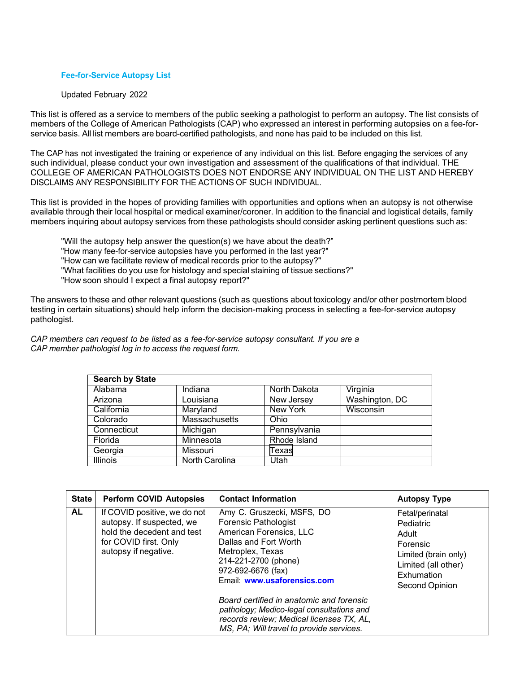## **Fee-for-Service Autopsy List**

## Updated February 2022

This list is offered as a service to members of the public seeking a pathologist to perform an autopsy. The list consists of members of the College of American Pathologists (CAP) who expressed an interest in performing autopsies on a fee-forservice basis. All list members are board-certified pathologists, and none has paid to be included on this list.

The CAP has not investigated the training or experience of any individual on this list. Before engaging the services of any such individual, please conduct your own investigation and assessment of the qualifications of that individual. THE COLLEGE OF AMERICAN PATHOLOGISTS DOES NOT ENDORSE ANY INDIVIDUAL ON THE LIST AND HEREBY DISCLAIMS ANY RESPONSIBILITY FOR THE ACTIONS OF SUCH INDIVIDUAL.

This list is provided in the hopes of providing families with opportunities and options when an autopsy is not otherwise available through their local hospital or medical examiner/coroner. In addition to the financial and logistical details, family members inquiring about autopsy services from these pathologists should consider asking pertinent questions such as:

"Will the autopsy help answer the question(s) we have about the death?" "How many fee-for-service autopsies have you performed in the last year?" "How can we facilitate review of medical records prior to the autopsy?" "What facilities do you use for histology and special staining of tissue sections?" "How soon should I expect a final autopsy report?"

The answers to these and other relevant questions (such as questions about toxicology and/or other postmortem blood testing in certain situations) should help inform the decision-making process in selecting a fee-for-service autopsy pathologist.

*CAP members can request to be listed as a fee-for-service autopsy consultant. If you are a CAP member pathologist log in to access the request form.*

| <b>Search by State</b> |                      |                 |                |
|------------------------|----------------------|-----------------|----------------|
| Alabama                | Indiana              | North Dakota    | Virginia       |
| Arizona                | Louisiana            | New Jersey      | Washington, DC |
| California             | Maryland             | <b>New York</b> | Wisconsin      |
| Colorado               | <b>Massachusetts</b> | Ohio            |                |
| Connecticut            | Michigan             | Pennsylvania    |                |
| Florida                | Minnesota            | Rhode Island    |                |
| Georgia                | Missouri             | Texas           |                |
| <b>Illinois</b>        | North Carolina       | Utah            |                |

<span id="page-0-0"></span>

| <b>State</b> | <b>Perform COVID Autopsies</b>                                                                                                           | <b>Contact Information</b>                                                                                                                                                                                     | <b>Autopsy Type</b>                                                                                                              |
|--------------|------------------------------------------------------------------------------------------------------------------------------------------|----------------------------------------------------------------------------------------------------------------------------------------------------------------------------------------------------------------|----------------------------------------------------------------------------------------------------------------------------------|
| AL           | If COVID positive, we do not<br>autopsy. If suspected, we<br>hold the decedent and test<br>for COVID first. Only<br>autopsy if negative. | Amy C. Gruszecki, MSFS, DO<br><b>Forensic Pathologist</b><br>American Forensics, LLC<br>Dallas and Fort Worth<br>Metroplex, Texas<br>214-221-2700 (phone)<br>972-692-6676 (fax)<br>Email: www.usaforensics.com | Fetal/perinatal<br>Pediatric<br>Adult<br>Forensic<br>Limited (brain only)<br>Limited (all other)<br>Exhumation<br>Second Opinion |
|              |                                                                                                                                          | Board certified in anatomic and forensic<br>pathology; Medico-legal consultations and<br>records review; Medical licenses TX, AL,<br>MS, PA; Will travel to provide services.                                  |                                                                                                                                  |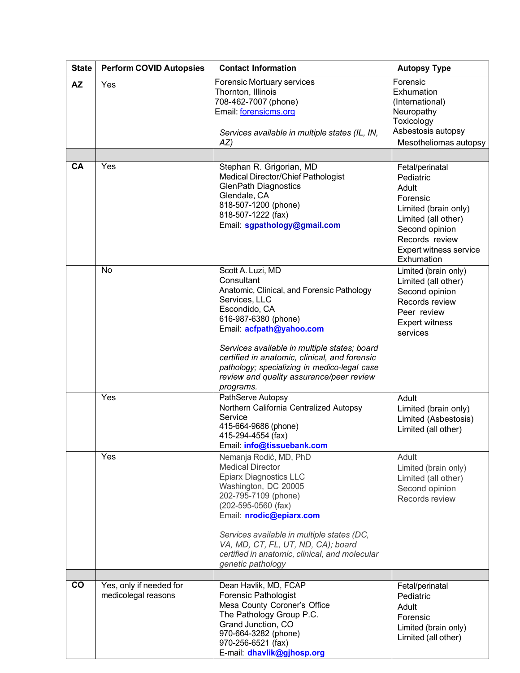<span id="page-1-2"></span><span id="page-1-1"></span><span id="page-1-0"></span>

| <b>State</b>    | <b>Perform COVID Autopsies</b> | <b>Contact Information</b>                                                           | <b>Autopsy Type</b>                          |
|-----------------|--------------------------------|--------------------------------------------------------------------------------------|----------------------------------------------|
| <b>AZ</b>       | Yes                            | Forensic Mortuary services                                                           | Forensic                                     |
|                 |                                | Thornton, Illinois                                                                   | Exhumation                                   |
|                 |                                | 708-462-7007 (phone)                                                                 | (International)                              |
|                 |                                | Email: forensicms.org                                                                | Neuropathy                                   |
|                 |                                |                                                                                      | Toxicology<br>Asbestosis autopsy             |
|                 |                                | Services available in multiple states (IL, IN,                                       | Mesotheliomas autopsy                        |
|                 |                                | AZ)                                                                                  |                                              |
|                 |                                |                                                                                      |                                              |
| CA              | Yes                            | Stephan R. Grigorian, MD<br>Medical Director/Chief Pathologist                       | Fetal/perinatal                              |
|                 |                                | <b>GlenPath Diagnostics</b>                                                          | Pediatric                                    |
|                 |                                | Glendale, CA                                                                         | Adult                                        |
|                 |                                | 818-507-1200 (phone)                                                                 | Forensic                                     |
|                 |                                | 818-507-1222 (fax)                                                                   | Limited (brain only)                         |
|                 |                                | Email: sgpathology@gmail.com                                                         | Limited (all other)                          |
|                 |                                |                                                                                      | Second opinion<br>Records review             |
|                 |                                |                                                                                      | Expert witness service                       |
|                 |                                |                                                                                      | Exhumation                                   |
|                 | No                             | Scott A. Luzi, MD                                                                    | Limited (brain only)                         |
|                 |                                | Consultant                                                                           | Limited (all other)                          |
|                 |                                | Anatomic, Clinical, and Forensic Pathology                                           | Second opinion                               |
|                 |                                | Services, LLC                                                                        | Records review                               |
|                 |                                | Escondido, CA                                                                        | Peer review                                  |
|                 |                                | 616-987-6380 (phone)<br>Email: acfpath@yahoo.com                                     | <b>Expert witness</b>                        |
|                 |                                |                                                                                      | services                                     |
|                 |                                | Services available in multiple states; board                                         |                                              |
|                 |                                | certified in anatomic, clinical, and forensic                                        |                                              |
|                 |                                | pathology; specializing in medico-legal case                                         |                                              |
|                 |                                | review and quality assurance/peer review                                             |                                              |
|                 | Yes                            | programs.                                                                            |                                              |
|                 |                                | PathServe Autopsy<br>Northern California Centralized Autopsy                         | Adult                                        |
|                 |                                | Service                                                                              | Limited (brain only)<br>Limited (Asbestosis) |
|                 |                                | 415-664-9686 (phone)                                                                 | Limited (all other)                          |
|                 |                                | 415-294-4554 (fax)                                                                   |                                              |
|                 |                                | Email: info@tissuebank.com                                                           |                                              |
|                 | Yes                            | Nemanja Rodić, MD, PhD                                                               | Adult                                        |
|                 |                                | <b>Medical Director</b>                                                              | Limited (brain only)                         |
|                 |                                | <b>Epiarx Diagnostics LLC</b>                                                        | Limited (all other)                          |
|                 |                                | Washington, DC 20005<br>202-795-7109 (phone)                                         | Second opinion                               |
|                 |                                | $(202 - 595 - 0560$ (fax)                                                            | Records review                               |
|                 |                                | Email: nrodic@epiarx.com                                                             |                                              |
|                 |                                |                                                                                      |                                              |
|                 |                                | Services available in multiple states (DC,                                           |                                              |
|                 |                                | VA, MD, CT, FL, UT, ND, CA); board<br>certified in anatomic, clinical, and molecular |                                              |
|                 |                                | genetic pathology                                                                    |                                              |
|                 |                                |                                                                                      |                                              |
| $\overline{co}$ | Yes, only if needed for        | Dean Havlik, MD, FCAP                                                                | Fetal/perinatal                              |
|                 | medicolegal reasons            | <b>Forensic Pathologist</b>                                                          | Pediatric                                    |
|                 |                                | Mesa County Coroner's Office                                                         | Adult                                        |
|                 |                                | The Pathology Group P.C.                                                             | Forensic                                     |
|                 |                                | Grand Junction, CO                                                                   | Limited (brain only)                         |
|                 |                                | 970-664-3282 (phone)<br>970-256-6521 (fax)                                           | Limited (all other)                          |
|                 |                                | E-mail: dhavlik@gjhosp.org                                                           |                                              |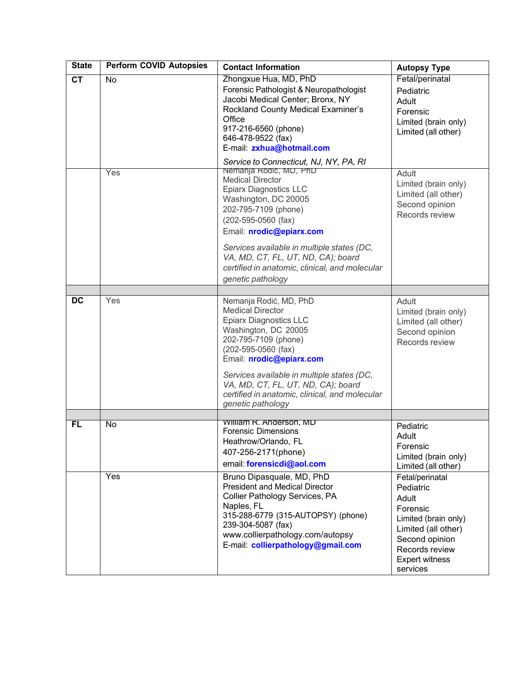<span id="page-2-2"></span><span id="page-2-1"></span><span id="page-2-0"></span>

| <b>State</b>           | <b>Perform COVID Autopsies</b> | <b>Contact Information</b>                                                                                                                                                                                                                                                                                                                       | <b>Autopsy Type</b>                                                                                                                                                       |
|------------------------|--------------------------------|--------------------------------------------------------------------------------------------------------------------------------------------------------------------------------------------------------------------------------------------------------------------------------------------------------------------------------------------------|---------------------------------------------------------------------------------------------------------------------------------------------------------------------------|
| $\overline{\text{CT}}$ | No                             | Zhongxue Hua, MD, PhD<br>Forensic Pathologist & Neuropathologist<br>Jacobi Medical Center; Bronx, NY<br>Rockland County Medical Examiner's<br>Office<br>917-216-6560 (phone)<br>646-478-9522 (fax)<br>E-mail: zxhua@hotmail.com<br>Service to Connecticut, NJ, NY, PA, RI                                                                        | Fetal/perinatal<br>Pediatric<br>Adult<br>Forensic<br>Limited (brain only)<br>Limited (all other)                                                                          |
|                        | Yes                            | Nemanja Rodić, MD, PhD<br><b>Medical Director</b><br><b>Epiarx Diagnostics LLC</b><br>Washington, DC 20005<br>202-795-7109 (phone)<br>(202-595-0560 (fax)<br>Email: nrodic@epiarx.com<br>Services available in multiple states (DC,<br>VA, MD, CT, FL, UT, ND, CA); board<br>certified in anatomic, clinical, and molecular<br>genetic pathology | Adult<br>Limited (brain only)<br>Limited (all other)<br>Second opinion<br>Records review                                                                                  |
|                        |                                |                                                                                                                                                                                                                                                                                                                                                  |                                                                                                                                                                           |
| <b>DC</b>              | Yes                            | Nemanja Rodić, MD, PhD<br><b>Medical Director</b><br>Epiarx Diagnostics LLC<br>Washington, DC 20005<br>202-795-7109 (phone)<br>(202-595-0560 (fax)<br>Email: nrodic@epiarx.com<br>Services available in multiple states (DC,<br>VA, MD, CT, FL, UT, ND, CA); board<br>certified in anatomic, clinical, and molecular<br>genetic pathology        | Adult<br>Limited (brain only)<br>Limited (all other)<br>Second opinion<br>Records review                                                                                  |
|                        |                                |                                                                                                                                                                                                                                                                                                                                                  |                                                                                                                                                                           |
| FL                     | No                             | <b>William R. Anderson, MD</b><br><b>Forensic Dimensions</b><br>Heathrow/Orlando, FL<br>407-256-2171(phone)<br>email: forensicdi@aol.com                                                                                                                                                                                                         | Pediatric<br>Adult<br>Forensic<br>Limited (brain only)<br>Limited (all other)                                                                                             |
|                        | Yes                            | Bruno Dipasquale, MD, PhD<br><b>President and Medical Director</b><br>Collier Pathology Services, PA<br>Naples, FL<br>315-288-6779 (315-AUTOPSY) (phone)<br>239-304-5087 (fax)<br>www.collierpathology.com/autopsy<br>E-mail: collierpathology@gmail.com                                                                                         | Fetal/perinatal<br>Pediatric<br>Adult<br>Forensic<br>Limited (brain only)<br>Limited (all other)<br>Second opinion<br>Records review<br><b>Expert witness</b><br>services |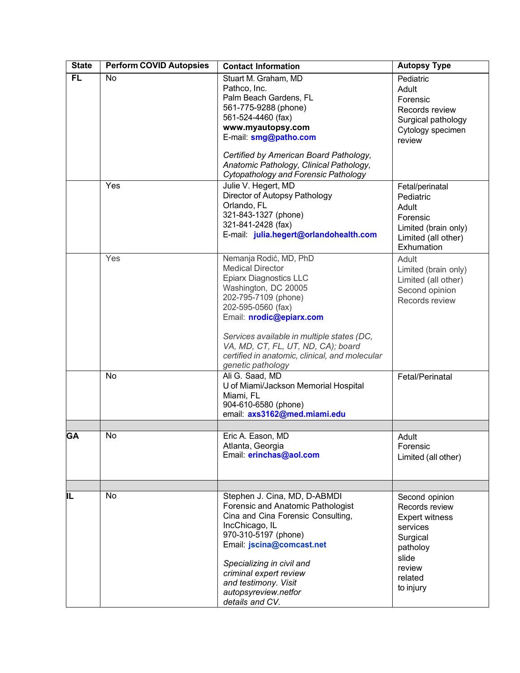<span id="page-3-1"></span><span id="page-3-0"></span>

| <b>State</b> | <b>Perform COVID Autopsies</b> | <b>Contact Information</b>                                                                                                                                                                                                                                                                                                                      | <b>Autopsy Type</b>                                                                                                                      |
|--------------|--------------------------------|-------------------------------------------------------------------------------------------------------------------------------------------------------------------------------------------------------------------------------------------------------------------------------------------------------------------------------------------------|------------------------------------------------------------------------------------------------------------------------------------------|
| FL           | No                             | Stuart M. Graham, MD<br>Pathco, Inc.<br>Palm Beach Gardens, FL<br>561-775-9288 (phone)<br>561-524-4460 (fax)<br>www.myautopsy.com<br>E-mail: smg@patho.com<br>Certified by American Board Pathology,                                                                                                                                            | Pediatric<br>Adult<br>Forensic<br>Records review<br>Surgical pathology<br>Cytology specimen<br>review                                    |
|              | Yes                            | Anatomic Pathology, Clinical Pathology,<br>Cytopathology and Forensic Pathology<br>Julie V. Hegert, MD<br>Director of Autopsy Pathology<br>Orlando, FL<br>321-843-1327 (phone)<br>321-841-2428 (fax)<br>E-mail: julia.hegert@orlandohealth.com                                                                                                  | Fetal/perinatal<br>Pediatric<br>Adult<br>Forensic<br>Limited (brain only)<br>Limited (all other)<br>Exhumation                           |
|              | Yes                            | Nemanja Rodić, MD, PhD<br><b>Medical Director</b><br><b>Epiarx Diagnostics LLC</b><br>Washington, DC 20005<br>202-795-7109 (phone)<br>202-595-0560 (fax)<br>Email: nrodic@epiarx.com<br>Services available in multiple states (DC,<br>VA, MD, CT, FL, UT, ND, CA); board<br>certified in anatomic, clinical, and molecular<br>genetic pathology | Adult<br>Limited (brain only)<br>Limited (all other)<br>Second opinion<br>Records review                                                 |
|              | No                             | Ali G. Saad, MD<br>U of Miami/Jackson Memorial Hospital<br>Miami, FL<br>904-610-6580 (phone)<br>email: axs3162@med.miami.edu                                                                                                                                                                                                                    | Fetal/Perinatal                                                                                                                          |
| <b>GA</b>    | No                             | Eric A. Eason, MD<br>Atlanta, Georgia<br>Email: erinchas@aol.com                                                                                                                                                                                                                                                                                | Adult<br>Forensic<br>Limited (all other)                                                                                                 |
| IL           | No                             | Stephen J. Cina, MD, D-ABMDI<br>Forensic and Anatomic Pathologist<br>Cina and Cina Forensic Consulting,<br>IncChicago, IL<br>970-310-5197 (phone)<br>Email: jscina@comcast.net<br>Specializing in civil and<br>criminal expert review<br>and testimony. Visit<br>autopsyreview.netfor<br>details and CV.                                        | Second opinion<br>Records review<br><b>Expert witness</b><br>services<br>Surgical<br>patholoy<br>slide<br>review<br>related<br>to injury |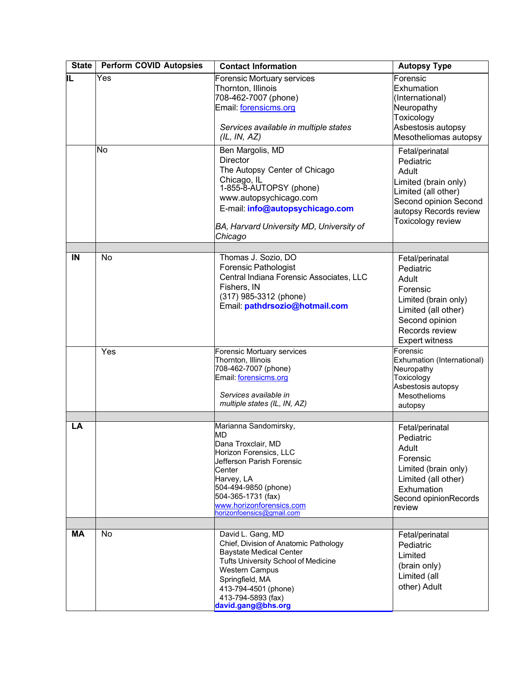<span id="page-4-3"></span><span id="page-4-2"></span><span id="page-4-1"></span><span id="page-4-0"></span>

| <b>State</b> | <b>Perform COVID Autopsies</b> | <b>Contact Information</b>                                                                                                                                                                                                                          | <b>Autopsy Type</b>                                                                                                                                           |
|--------------|--------------------------------|-----------------------------------------------------------------------------------------------------------------------------------------------------------------------------------------------------------------------------------------------------|---------------------------------------------------------------------------------------------------------------------------------------------------------------|
| IL           | Yes                            | Forensic Mortuary services<br>Thornton, Illinois<br>708-462-7007 (phone)<br>Email: forensicms.org<br>Services available in multiple states<br>(IL, IN, AZ)                                                                                          | Forensic<br>Exhumation<br>(International)<br>Neuropathy<br>Toxicology<br>Asbestosis autopsy<br>Mesotheliomas autopsy                                          |
|              | No                             | Ben Margolis, MD<br><b>Director</b><br>The Autopsy Center of Chicago<br>Chicago, IL<br>1-855-8-AUTOPSY (phone)<br>www.autopsychicago.com<br>E-mail: info@autopsychicago.com<br>BA, Harvard University MD, University of<br>Chicago                  | Fetal/perinatal<br>Pediatric<br>Adult<br>Limited (brain only)<br>Limited (all other)<br>Second opinion Second<br>autopsy Records review<br>Toxicology review  |
|              |                                |                                                                                                                                                                                                                                                     |                                                                                                                                                               |
| IN           | No                             | Thomas J. Sozio, DO<br><b>Forensic Pathologist</b><br>Central Indiana Forensic Associates, LLC<br>Fishers, IN<br>(317) 985-3312 (phone)<br>Email: pathdrsozio@hotmail.com                                                                           | Fetal/perinatal<br>Pediatric<br>Adult<br>Forensic<br>Limited (brain only)<br>Limited (all other)<br>Second opinion<br>Records review<br><b>Expert witness</b> |
|              | Yes                            | Forensic Mortuary services<br>Thornton, Illinois<br>708-462-7007 (phone)<br>Email: forensicms.org<br>Services available in<br>multiple states (IL, IN, AZ)                                                                                          | Forensic<br>Exhumation (International)<br>Neuropathy<br>Toxicology<br>Asbestosis autopsy<br>Mesothelioms<br>autopsy                                           |
|              |                                |                                                                                                                                                                                                                                                     |                                                                                                                                                               |
| LA           |                                | Marianna Sandomirsky,<br>MD<br>Dana Troxclair, MD<br>Horizon Forensics, LLC<br>Jefferson Parish Forensic<br>Center<br>Harvey, LA<br>504-494-9850 (phone)<br>504-365-1731 (fax)<br>www.horizonforensics.com<br>horizonfoensics@gmail.com             | Fetal/perinatal<br>Pediatric<br>Adult<br>Forensic<br>Limited (brain only)<br>Limited (all other)<br>Exhumation<br>Second opinionRecords<br><b>review</b>      |
|              |                                |                                                                                                                                                                                                                                                     |                                                                                                                                                               |
| <b>MA</b>    | No                             | David L. Gang, MD<br>Chief, Division of Anatomic Pathology<br><b>Baystate Medical Center</b><br>Tufts University School of Medicine<br><b>Western Campus</b><br>Springfield, MA<br>413-794-4501 (phone)<br>413-794-5893 (fax)<br>david.gang@bhs.org | Fetal/perinatal<br>Pediatric<br>Limited<br>(brain only)<br>Limited (all<br>other) Adult                                                                       |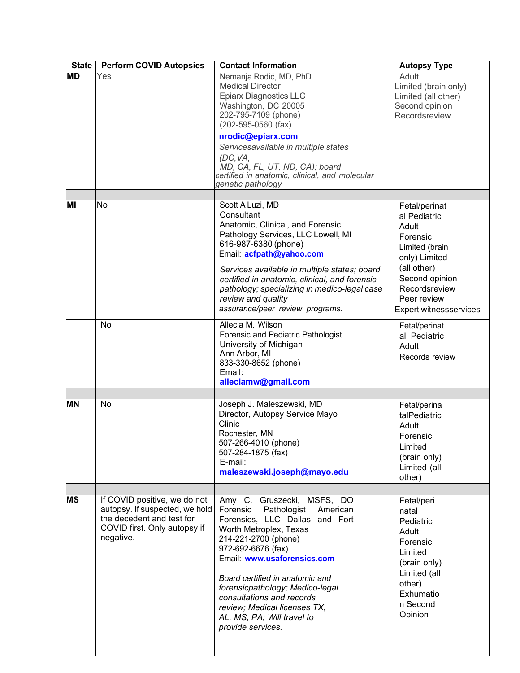<span id="page-5-3"></span><span id="page-5-2"></span><span id="page-5-1"></span><span id="page-5-0"></span>

| <b>State</b> | <b>Perform COVID Autopsies</b>                                                                                                           | <b>Contact Information</b>                                                                                                                                                                                                                                                                                                                                                                       | <b>Autopsy Type</b>                                                                                                                                                                     |
|--------------|------------------------------------------------------------------------------------------------------------------------------------------|--------------------------------------------------------------------------------------------------------------------------------------------------------------------------------------------------------------------------------------------------------------------------------------------------------------------------------------------------------------------------------------------------|-----------------------------------------------------------------------------------------------------------------------------------------------------------------------------------------|
| <b>MD</b>    | Yes                                                                                                                                      | Nemanja Rodić, MD, PhD<br><b>Medical Director</b><br><b>Epiarx Diagnostics LLC</b><br>Washington, DC 20005<br>202-795-7109 (phone)<br>(202-595-0560 (fax)<br>nrodic@epiarx.com                                                                                                                                                                                                                   | Adult<br>Limited (brain only)<br>Limited (all other)<br>Second opinion<br>Recordsreview                                                                                                 |
|              |                                                                                                                                          | Servicesavailable in multiple states<br>(DC, VA,<br>MD, CA, FL, UT, ND, CA); board<br>certified in anatomic, clinical, and molecular<br>genetic pathology                                                                                                                                                                                                                                        |                                                                                                                                                                                         |
|              |                                                                                                                                          |                                                                                                                                                                                                                                                                                                                                                                                                  |                                                                                                                                                                                         |
| MI           | No                                                                                                                                       | Scott A Luzi, MD<br>Consultant<br>Anatomic, Clinical, and Forensic<br>Pathology Services, LLC Lowell, MI<br>616-987-6380 (phone)<br>Email: acfpath@yahoo.com<br>Services available in multiple states; board<br>certified in anatomic, clinical, and forensic<br>pathology; specializing in medico-legal case<br>review and quality<br>assurance/peer review programs.                           | Fetal/perinat<br>al Pediatric<br>Adult<br>Forensic<br>Limited (brain<br>only) Limited<br>(all other)<br>Second opinion<br>Recordsreview<br>Peer review<br><b>Expert witnessservices</b> |
|              | N <sub>o</sub>                                                                                                                           | Allecia M. Wilson<br>Forensic and Pediatric Pathologist<br>University of Michigan<br>Ann Arbor, MI<br>833-330-8652 (phone)<br>Email:<br>alleciamw@gmail.com                                                                                                                                                                                                                                      | Fetal/perinat<br>al Pediatric<br>Adult<br>Records review                                                                                                                                |
|              |                                                                                                                                          |                                                                                                                                                                                                                                                                                                                                                                                                  |                                                                                                                                                                                         |
| <b>MN</b>    | No                                                                                                                                       | Joseph J. Maleszewski, MD<br>Director, Autopsy Service Mayo<br>Clinic<br>Rochester, MN<br>507-266-4010 (phone)<br>507-284-1875 (fax)<br>E-mail:<br>maleszewski.joseph@mayo.edu                                                                                                                                                                                                                   | Fetal/perina<br>talPediatric<br>Adult<br>Forensic<br>Limited<br>(brain only)<br>Limited (all<br>other)                                                                                  |
|              |                                                                                                                                          |                                                                                                                                                                                                                                                                                                                                                                                                  |                                                                                                                                                                                         |
| <b>MS</b>    | If COVID positive, we do not<br>autopsy. If suspected, we hold<br>the decedent and test for<br>COVID first. Only autopsy if<br>negative. | Amy C. Gruszecki, MSFS, DO<br>Forensic<br>Pathologist<br>American<br>Forensics, LLC Dallas and Fort<br>Worth Metroplex, Texas<br>214-221-2700 (phone)<br>972-692-6676 (fax)<br>Email: www.usaforensics.com<br>Board certified in anatomic and<br>forensicpathology; Medico-legal<br>consultations and records<br>review; Medical licenses TX,<br>AL, MS, PA; Will travel to<br>provide services. | Fetal/peri<br>natal<br>Pediatric<br>Adult<br>Forensic<br>Limited<br>(brain only)<br>Limited (all<br>other)<br>Exhumatio<br>n Second<br>Opinion                                          |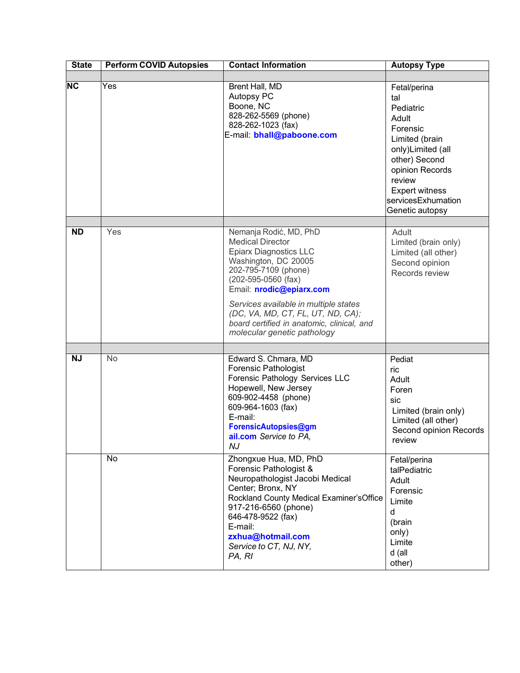<span id="page-6-1"></span><span id="page-6-0"></span>

| <b>State</b> | <b>Perform COVID Autopsies</b> | <b>Contact Information</b>                                                                                                                                                                                                                                                                                                                             | <b>Autopsy Type</b>                                                                                                                                                                                          |
|--------------|--------------------------------|--------------------------------------------------------------------------------------------------------------------------------------------------------------------------------------------------------------------------------------------------------------------------------------------------------------------------------------------------------|--------------------------------------------------------------------------------------------------------------------------------------------------------------------------------------------------------------|
|              |                                |                                                                                                                                                                                                                                                                                                                                                        |                                                                                                                                                                                                              |
| NC           | Yes                            | Brent Hall, MD<br>Autopsy PC<br>Boone, NC<br>828-262-5569 (phone)<br>828-262-1023 (fax)<br>E-mail: bhall@paboone.com                                                                                                                                                                                                                                   | Fetal/perina<br>tal<br>Pediatric<br>Adult<br>Forensic<br>Limited (brain<br>only)Limited (all<br>other) Second<br>opinion Records<br>review<br><b>Expert witness</b><br>servicesExhumation<br>Genetic autopsy |
|              |                                |                                                                                                                                                                                                                                                                                                                                                        |                                                                                                                                                                                                              |
| <b>ND</b>    | Yes                            | Nemanja Rodić, MD, PhD<br><b>Medical Director</b><br><b>Epiarx Diagnostics LLC</b><br>Washington, DC 20005<br>202-795-7109 (phone)<br>$(202 - 595 - 0560$ (fax)<br>Email: nrodic@epiarx.com<br>Services available in multiple states<br>(DC, VA, MD, CT, FL, UT, ND, CA);<br>board certified in anatomic, clinical, and<br>molecular genetic pathology | Adult<br>Limited (brain only)<br>Limited (all other)<br>Second opinion<br>Records review                                                                                                                     |
|              |                                |                                                                                                                                                                                                                                                                                                                                                        |                                                                                                                                                                                                              |
| <b>NJ</b>    | No                             | Edward S. Chmara, MD<br><b>Forensic Pathologist</b><br>Forensic Pathology Services LLC<br>Hopewell, New Jersey<br>609-902-4458 (phone)<br>609-964-1603 (fax)<br>E-mail:<br>ForensicAutopsies@gm<br>ail.com Service to PA,<br>NJ                                                                                                                        | Pediat<br>ric<br>Adult<br>Foren<br>sic<br>Limited (brain only)<br>Limited (all other)<br>Second opinion Records<br>review                                                                                    |
|              | No                             | Zhongxue Hua, MD, PhD<br>Forensic Pathologist &<br>Neuropathologist Jacobi Medical<br>Center; Bronx, NY<br>Rockland County Medical Examiner's Office<br>917-216-6560 (phone)<br>646-478-9522 (fax)<br>E-mail:<br>zxhua@hotmail.com<br>Service to CT, NJ, NY,<br>PA, RI                                                                                 | Fetal/perina<br>talPediatric<br>Adult<br>Forensic<br>Limite<br>$\mathsf{d}$<br>(brain<br>only)<br>Limite<br>d (all<br>other)                                                                                 |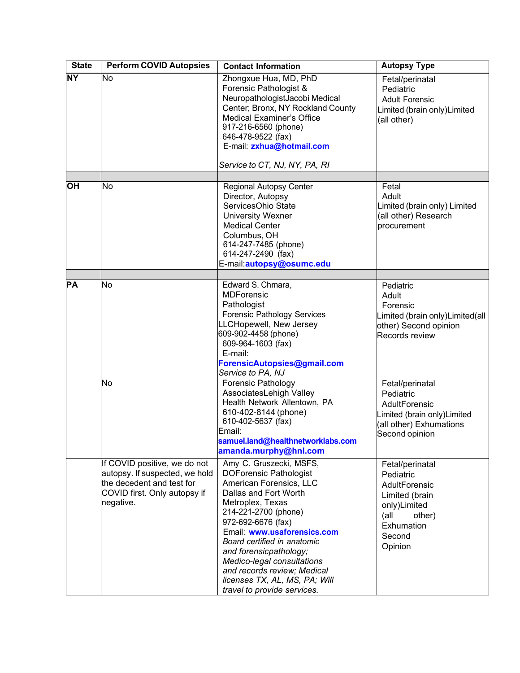<span id="page-7-3"></span><span id="page-7-2"></span><span id="page-7-1"></span><span id="page-7-0"></span>

| <b>State</b> | <b>Perform COVID Autopsies</b>                                                                                                           | <b>Contact Information</b>                                                                                                                                                                                                                                                                                                                                                                          | <b>Autopsy Type</b>                                                                                                                   |
|--------------|------------------------------------------------------------------------------------------------------------------------------------------|-----------------------------------------------------------------------------------------------------------------------------------------------------------------------------------------------------------------------------------------------------------------------------------------------------------------------------------------------------------------------------------------------------|---------------------------------------------------------------------------------------------------------------------------------------|
| <b>NY</b>    | No                                                                                                                                       | Zhongxue Hua, MD, PhD<br>Forensic Pathologist &<br>NeuropathologistJacobi Medical<br>Center; Bronx, NY Rockland County<br><b>Medical Examiner's Office</b><br>917-216-6560 (phone)<br>646-478-9522 (fax)<br>E-mail: zxhua@hotmail.com<br>Service to CT, NJ, NY, PA, RI                                                                                                                              | Fetal/perinatal<br>Pediatric<br><b>Adult Forensic</b><br>Limited (brain only)Limited<br>(all other)                                   |
|              |                                                                                                                                          |                                                                                                                                                                                                                                                                                                                                                                                                     |                                                                                                                                       |
| <b>OH</b>    | No                                                                                                                                       | <b>Regional Autopsy Center</b><br>Director, Autopsy<br>ServicesOhio State<br><b>University Wexner</b><br><b>Medical Center</b><br>Columbus, OH<br>614-247-7485 (phone)<br>614-247-2490 (fax)<br>E-mail:autopsy@osumc.edu                                                                                                                                                                            | Fetal<br>Adult<br>Limited (brain only) Limited<br>(all other) Research<br>procurement                                                 |
|              |                                                                                                                                          |                                                                                                                                                                                                                                                                                                                                                                                                     |                                                                                                                                       |
| <b>PA</b>    | No                                                                                                                                       | Edward S. Chmara,<br><b>MDForensic</b><br>Pathologist<br>Forensic Pathology Services<br>LLCHopewell, New Jersey<br>609-902-4458 (phone)<br>609-964-1603 (fax)<br>E-mail:<br>ForensicAutopsies@gmail.com<br>Service to PA, NJ                                                                                                                                                                        | Pediatric<br>Adult<br>Forensic<br>Limited (brain only)Limited(all<br>other) Second opinion<br>Records review                          |
|              | No                                                                                                                                       | <b>Forensic Pathology</b><br>AssociatesLehigh Valley<br>Health Network Allentown, PA<br>610-402-8144 (phone)<br>610-402-5637 (fax)<br>Email:<br>samuel.land@healthnetworklabs.com<br>amanda.murphy@hnl.com                                                                                                                                                                                          | Fetal/perinatal<br>Pediatric<br>AdultForensic<br>Limited (brain only)Limited<br>(all other) Exhumations<br>Second opinion             |
|              | If COVID positive, we do not<br>autopsy. If suspected, we hold<br>the decedent and test for<br>COVID first. Only autopsy if<br>negative. | Amy C. Gruszecki, MSFS,<br><b>DOForensic Pathologist</b><br>American Forensics, LLC<br>Dallas and Fort Worth<br>Metroplex, Texas<br>214-221-2700 (phone)<br>972-692-6676 (fax)<br>Email: www.usaforensics.com<br>Board certified in anatomic<br>and forensicpathology;<br>Medico-legal consultations<br>and records review; Medical<br>licenses TX, AL, MS, PA; Will<br>travel to provide services. | Fetal/perinatal<br>Pediatric<br>AdultForensic<br>Limited (brain<br>only)Limited<br>(all)<br>other)<br>Exhumation<br>Second<br>Opinion |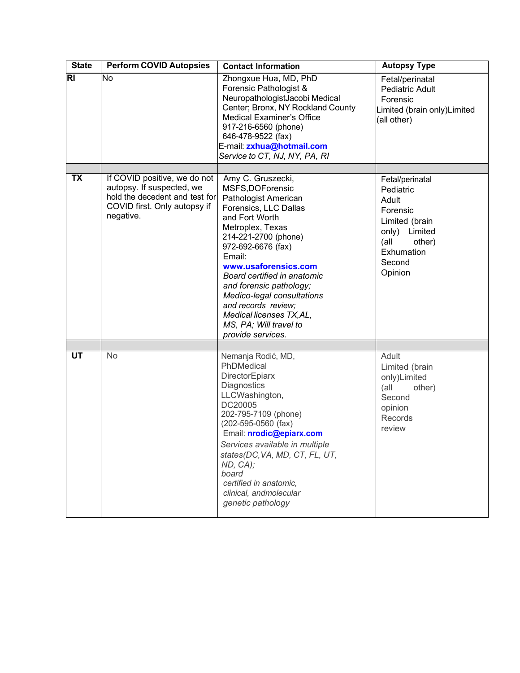<span id="page-8-2"></span><span id="page-8-1"></span><span id="page-8-0"></span>

| <b>State</b>             | <b>Perform COVID Autopsies</b>                                                                                                           | <b>Contact Information</b>                                                                                                                                                                                                                                                                                                                                                                              | <b>Autopsy Type</b>                                                                                                                       |
|--------------------------|------------------------------------------------------------------------------------------------------------------------------------------|---------------------------------------------------------------------------------------------------------------------------------------------------------------------------------------------------------------------------------------------------------------------------------------------------------------------------------------------------------------------------------------------------------|-------------------------------------------------------------------------------------------------------------------------------------------|
| $\overline{R}$           | No                                                                                                                                       | Zhongxue Hua, MD, PhD<br>Forensic Pathologist &<br>NeuropathologistJacobi Medical<br>Center; Bronx, NY Rockland County<br><b>Medical Examiner's Office</b><br>917-216-6560 (phone)<br>646-478-9522 (fax)<br>E-mail: zxhua@hotmail.com<br>Service to CT, NJ, NY, PA, RI                                                                                                                                  | Fetal/perinatal<br><b>Pediatric Adult</b><br>Forensic<br>Limited (brain only)Limited<br>(all other)                                       |
|                          |                                                                                                                                          |                                                                                                                                                                                                                                                                                                                                                                                                         |                                                                                                                                           |
| $\overline{\mathsf{TX}}$ | If COVID positive, we do not<br>autopsy. If suspected, we<br>hold the decedent and test for<br>COVID first. Only autopsy if<br>negative. | Amy C. Gruszecki,<br>MSFS, DOF orensic<br>Pathologist American<br>Forensics, LLC Dallas<br>and Fort Worth<br>Metroplex, Texas<br>214-221-2700 (phone)<br>972-692-6676 (fax)<br>Email:<br>www.usaforensics.com<br>Board certified in anatomic<br>and forensic pathology;<br>Medico-legal consultations<br>and records review;<br>Medical licenses TX, AL,<br>MS, PA; Will travel to<br>provide services. | Fetal/perinatal<br>Pediatric<br>Adult<br>Forensic<br>Limited (brain<br>only) Limited<br>(all<br>other)<br>Exhumation<br>Second<br>Opinion |
|                          |                                                                                                                                          |                                                                                                                                                                                                                                                                                                                                                                                                         |                                                                                                                                           |
| <b>UT</b>                | No                                                                                                                                       | Nemanja Rodić, MD,<br>PhDMedical<br>DirectorEpiarx<br>Diagnostics<br>LLCWashington,<br>DC20005<br>202-795-7109 (phone)<br>$(202 - 595 - 0560$ (fax)<br>Email: nrodic@epiarx.com<br>Services available in multiple<br>states(DC, VA, MD, CT, FL, UT,<br>ND, CA);<br>board<br>certified in anatomic,<br>clinical, andmolecular<br>genetic pathology                                                       | Adult<br>Limited (brain<br>only)Limited<br>(all<br>other)<br>Second<br>opinion<br>Records<br>review                                       |